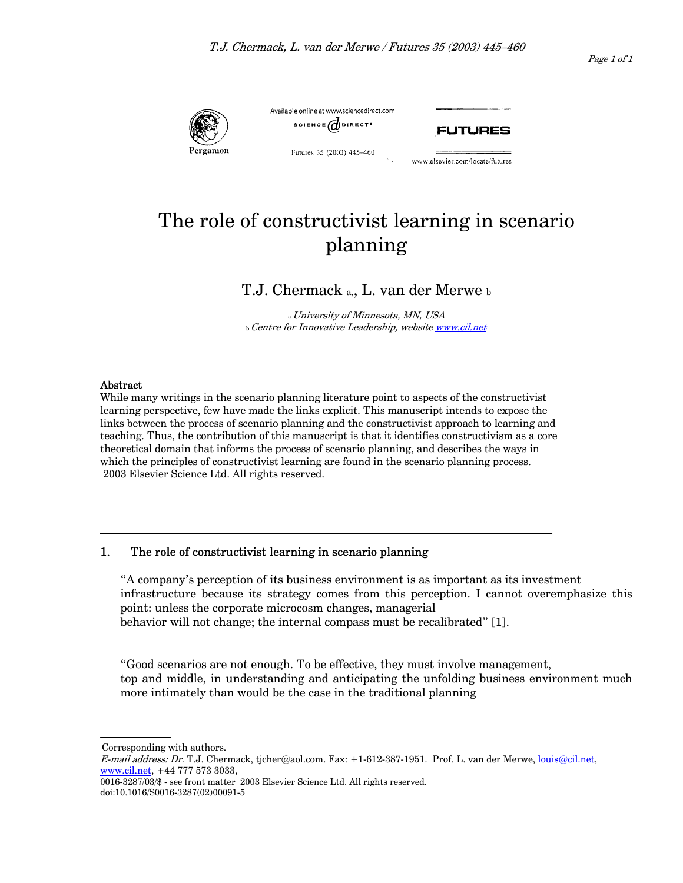Page 1 of 1



Available online at www.sciencedirect.com SCIENCE  $d$  DIRECT<sup>+</sup>



Futures 35 (2003) 445-460

www.elsevier.com/locate/futures

# The role of constructivist learning in scenario planning

T.J. Chermack a,, L. van der Merwe b

<sup>a</sup>University of Minnesota, MN, USA **b** Centre for Innovative Leadership, website www.cil.net

### Abstract

While many writings in the scenario planning literature point to aspects of the constructivist learning perspective, few have made the links explicit. This manuscript intends to expose the links between the process of scenario planning and the constructivist approach to learning and teaching. Thus, the contribution of this manuscript is that it identifies constructivism as a core theoretical domain that informs the process of scenario planning, and describes the ways in which the principles of constructivist learning are found in the scenario planning process. 2003 Elsevier Science Ltd. All rights reserved.

### 1. The role of constructivist learning in scenario planning

"A company's perception of its business environment is as important as its investment infrastructure because its strategy comes from this perception. I cannot overemphasize this point: unless the corporate microcosm changes, managerial behavior will not change; the internal compass must be recalibrated" [1].

"Good scenarios are not enough. To be effective, they must involve management, top and middle, in understanding and anticipating the unfolding business environment much more intimately than would be the case in the traditional planning

Corresponding with authors.

0016-3287/03/\$ - see front matter 2003 Elsevier Science Ltd. All rights reserved. doi:10.1016/S0016-3287(02)00091-5

E-mail address: Dr. T.J. Chermack, tjcher@aol.com. Fax: +1-612-387-1951. Prof. L. van der Merwe, louis@cil.net, www.cil.net, +44 777 573 3033,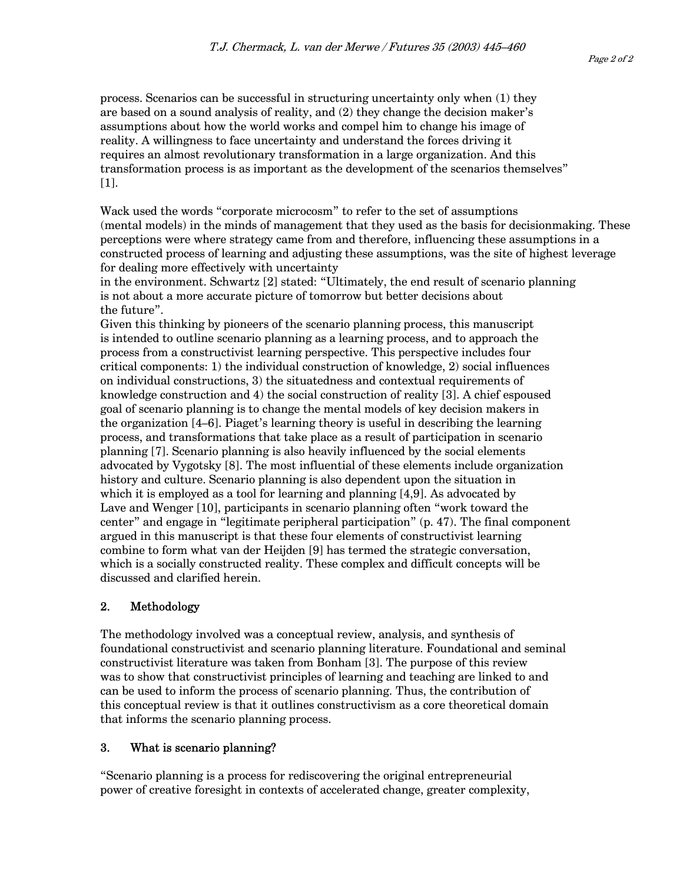process. Scenarios can be successful in structuring uncertainty only when (1) they are based on a sound analysis of reality, and (2) they change the decision maker's assumptions about how the world works and compel him to change his image of reality. A willingness to face uncertainty and understand the forces driving it requires an almost revolutionary transformation in a large organization. And this transformation process is as important as the development of the scenarios themselves" [1].

Wack used the words "corporate microcosm" to refer to the set of assumptions (mental models) in the minds of management that they used as the basis for decisionmaking. These perceptions were where strategy came from and therefore, influencing these assumptions in a constructed process of learning and adjusting these assumptions, was the site of highest leverage for dealing more effectively with uncertainty

in the environment. Schwartz [2] stated: "Ultimately, the end result of scenario planning is not about a more accurate picture of tomorrow but better decisions about the future".

Given this thinking by pioneers of the scenario planning process, this manuscript is intended to outline scenario planning as a learning process, and to approach the process from a constructivist learning perspective. This perspective includes four critical components: 1) the individual construction of knowledge, 2) social influences on individual constructions, 3) the situatedness and contextual requirements of knowledge construction and 4) the social construction of reality [3]. A chief espoused goal of scenario planning is to change the mental models of key decision makers in the organization [4–6]. Piaget's learning theory is useful in describing the learning process, and transformations that take place as a result of participation in scenario planning [7]. Scenario planning is also heavily influenced by the social elements advocated by Vygotsky [8]. The most influential of these elements include organization history and culture. Scenario planning is also dependent upon the situation in which it is employed as a tool for learning and planning [4,9]. As advocated by Lave and Wenger [10], participants in scenario planning often "work toward the center" and engage in "legitimate peripheral participation" (p. 47). The final component argued in this manuscript is that these four elements of constructivist learning combine to form what van der Heijden [9] has termed the strategic conversation, which is a socially constructed reality. These complex and difficult concepts will be discussed and clarified herein.

# 2. Methodology

The methodology involved was a conceptual review, analysis, and synthesis of foundational constructivist and scenario planning literature. Foundational and seminal constructivist literature was taken from Bonham [3]. The purpose of this review was to show that constructivist principles of learning and teaching are linked to and can be used to inform the process of scenario planning. Thus, the contribution of this conceptual review is that it outlines constructivism as a core theoretical domain that informs the scenario planning process.

### 3. What is scenario planning?

"Scenario planning is a process for rediscovering the original entrepreneurial power of creative foresight in contexts of accelerated change, greater complexity,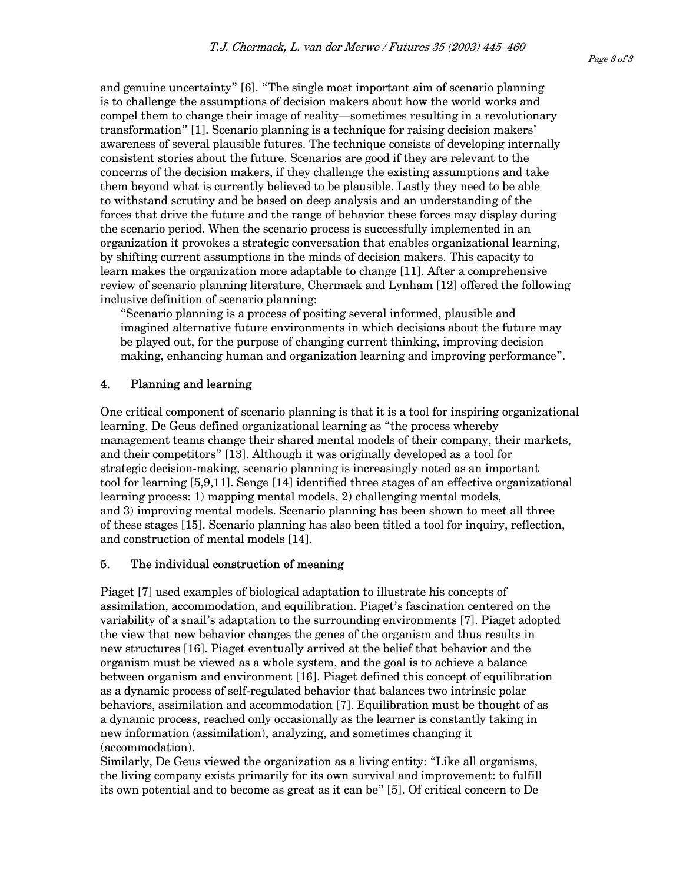and genuine uncertainty" [6]. "The single most important aim of scenario planning is to challenge the assumptions of decision makers about how the world works and compel them to change their image of reality—sometimes resulting in a revolutionary transformation" [1]. Scenario planning is a technique for raising decision makers' awareness of several plausible futures. The technique consists of developing internally consistent stories about the future. Scenarios are good if they are relevant to the concerns of the decision makers, if they challenge the existing assumptions and take them beyond what is currently believed to be plausible. Lastly they need to be able to withstand scrutiny and be based on deep analysis and an understanding of the forces that drive the future and the range of behavior these forces may display during the scenario period. When the scenario process is successfully implemented in an organization it provokes a strategic conversation that enables organizational learning, by shifting current assumptions in the minds of decision makers. This capacity to learn makes the organization more adaptable to change [11]. After a comprehensive review of scenario planning literature, Chermack and Lynham [12] offered the following inclusive definition of scenario planning:

"Scenario planning is a process of positing several informed, plausible and imagined alternative future environments in which decisions about the future may be played out, for the purpose of changing current thinking, improving decision making, enhancing human and organization learning and improving performance".

# 4. Planning and learning

One critical component of scenario planning is that it is a tool for inspiring organizational learning. De Geus defined organizational learning as "the process whereby management teams change their shared mental models of their company, their markets, and their competitors" [13]. Although it was originally developed as a tool for strategic decision-making, scenario planning is increasingly noted as an important tool for learning [5,9,11]. Senge [14] identified three stages of an effective organizational learning process: 1) mapping mental models, 2) challenging mental models, and 3) improving mental models. Scenario planning has been shown to meet all three of these stages [15]. Scenario planning has also been titled a tool for inquiry, reflection, and construction of mental models [14].

### 5. The individual construction of meaning

Piaget [7] used examples of biological adaptation to illustrate his concepts of assimilation, accommodation, and equilibration. Piaget's fascination centered on the variability of a snail's adaptation to the surrounding environments [7]. Piaget adopted the view that new behavior changes the genes of the organism and thus results in new structures [16]. Piaget eventually arrived at the belief that behavior and the organism must be viewed as a whole system, and the goal is to achieve a balance between organism and environment [16]. Piaget defined this concept of equilibration as a dynamic process of self-regulated behavior that balances two intrinsic polar behaviors, assimilation and accommodation [7]. Equilibration must be thought of as a dynamic process, reached only occasionally as the learner is constantly taking in new information (assimilation), analyzing, and sometimes changing it (accommodation).

Similarly, De Geus viewed the organization as a living entity: "Like all organisms, the living company exists primarily for its own survival and improvement: to fulfill its own potential and to become as great as it can be" [5]. Of critical concern to De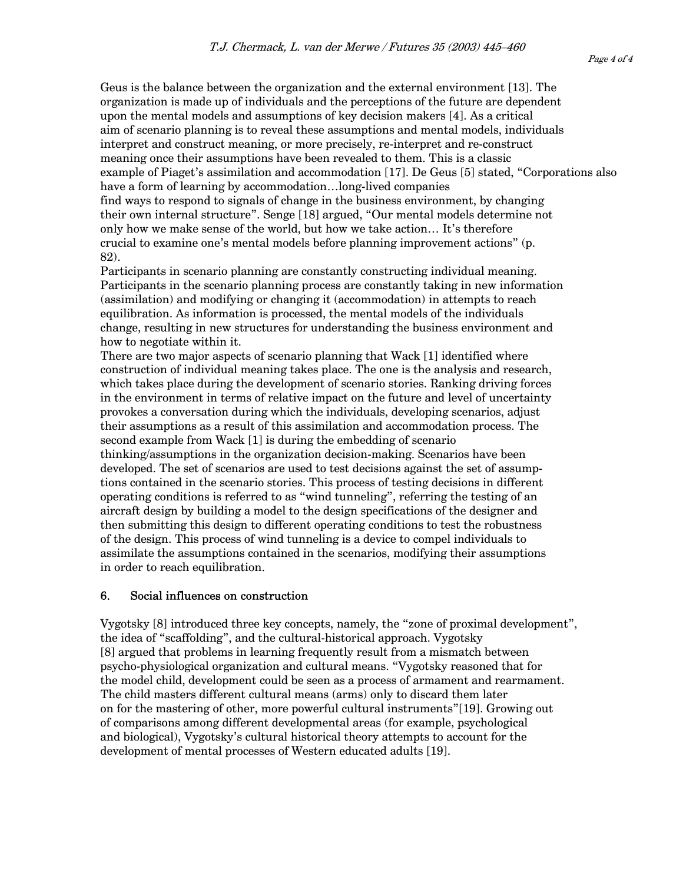Geus is the balance between the organization and the external environment [13]. The organization is made up of individuals and the perceptions of the future are dependent upon the mental models and assumptions of key decision makers [4]. As a critical aim of scenario planning is to reveal these assumptions and mental models, individuals interpret and construct meaning, or more precisely, re-interpret and re-construct meaning once their assumptions have been revealed to them. This is a classic example of Piaget's assimilation and accommodation [17]. De Geus [5] stated, "Corporations also have a form of learning by accommodation…long-lived companies find ways to respond to signals of change in the business environment, by changing their own internal structure". Senge [18] argued, "Our mental models determine not only how we make sense of the world, but how we take action… It's therefore crucial to examine one's mental models before planning improvement actions" (p. 82).

Participants in scenario planning are constantly constructing individual meaning. Participants in the scenario planning process are constantly taking in new information (assimilation) and modifying or changing it (accommodation) in attempts to reach equilibration. As information is processed, the mental models of the individuals change, resulting in new structures for understanding the business environment and how to negotiate within it.

There are two major aspects of scenario planning that Wack [1] identified where construction of individual meaning takes place. The one is the analysis and research, which takes place during the development of scenario stories. Ranking driving forces in the environment in terms of relative impact on the future and level of uncertainty provokes a conversation during which the individuals, developing scenarios, adjust their assumptions as a result of this assimilation and accommodation process. The second example from Wack [1] is during the embedding of scenario

thinking/assumptions in the organization decision-making. Scenarios have been developed. The set of scenarios are used to test decisions against the set of assumptions contained in the scenario stories. This process of testing decisions in different operating conditions is referred to as "wind tunneling", referring the testing of an aircraft design by building a model to the design specifications of the designer and then submitting this design to different operating conditions to test the robustness of the design. This process of wind tunneling is a device to compel individuals to assimilate the assumptions contained in the scenarios, modifying their assumptions in order to reach equilibration.

### 6. Social influences on construction

Vygotsky [8] introduced three key concepts, namely, the "zone of proximal development", the idea of "scaffolding", and the cultural-historical approach. Vygotsky [8] argued that problems in learning frequently result from a mismatch between psycho-physiological organization and cultural means. "Vygotsky reasoned that for the model child, development could be seen as a process of armament and rearmament. The child masters different cultural means (arms) only to discard them later on for the mastering of other, more powerful cultural instruments"[19]. Growing out of comparisons among different developmental areas (for example, psychological and biological), Vygotsky's cultural historical theory attempts to account for the development of mental processes of Western educated adults [19].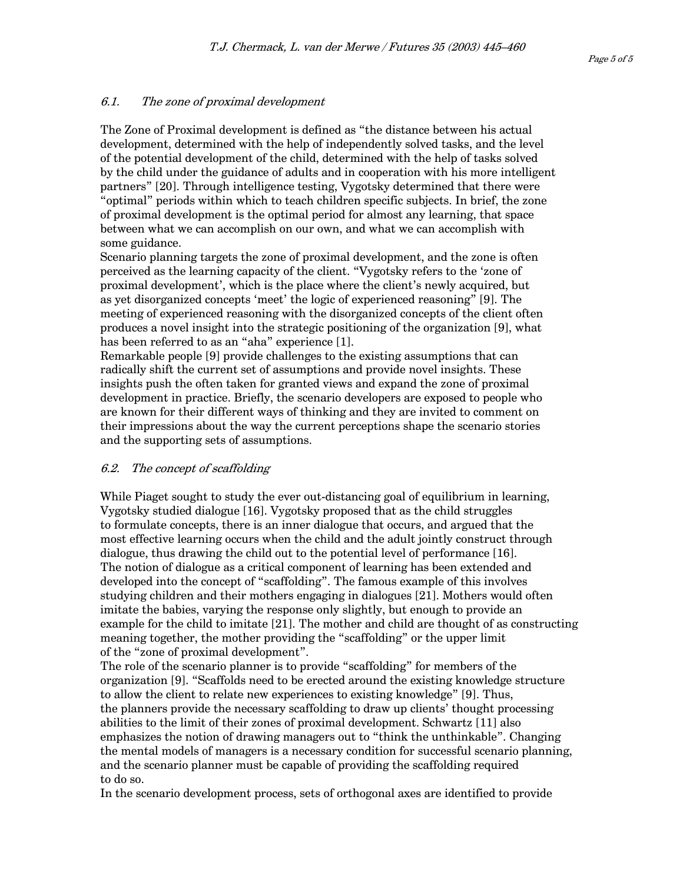# 6.1. The zone of proximal development

The Zone of Proximal development is defined as "the distance between his actual development, determined with the help of independently solved tasks, and the level of the potential development of the child, determined with the help of tasks solved by the child under the guidance of adults and in cooperation with his more intelligent partners" [20]. Through intelligence testing, Vygotsky determined that there were "optimal" periods within which to teach children specific subjects. In brief, the zone of proximal development is the optimal period for almost any learning, that space between what we can accomplish on our own, and what we can accomplish with some guidance.

Scenario planning targets the zone of proximal development, and the zone is often perceived as the learning capacity of the client. "Vygotsky refers to the 'zone of proximal development', which is the place where the client's newly acquired, but as yet disorganized concepts 'meet' the logic of experienced reasoning" [9]. The meeting of experienced reasoning with the disorganized concepts of the client often produces a novel insight into the strategic positioning of the organization [9], what has been referred to as an "aha" experience [1].

Remarkable people [9] provide challenges to the existing assumptions that can radically shift the current set of assumptions and provide novel insights. These insights push the often taken for granted views and expand the zone of proximal development in practice. Briefly, the scenario developers are exposed to people who are known for their different ways of thinking and they are invited to comment on their impressions about the way the current perceptions shape the scenario stories and the supporting sets of assumptions.

### 6.2. The concept of scaffolding

While Piaget sought to study the ever out-distancing goal of equilibrium in learning, Vygotsky studied dialogue [16]. Vygotsky proposed that as the child struggles to formulate concepts, there is an inner dialogue that occurs, and argued that the most effective learning occurs when the child and the adult jointly construct through dialogue, thus drawing the child out to the potential level of performance [16]. The notion of dialogue as a critical component of learning has been extended and developed into the concept of "scaffolding". The famous example of this involves studying children and their mothers engaging in dialogues [21]. Mothers would often imitate the babies, varying the response only slightly, but enough to provide an example for the child to imitate [21]. The mother and child are thought of as constructing meaning together, the mother providing the "scaffolding" or the upper limit of the "zone of proximal development".

The role of the scenario planner is to provide "scaffolding" for members of the organization [9]. "Scaffolds need to be erected around the existing knowledge structure to allow the client to relate new experiences to existing knowledge" [9]. Thus, the planners provide the necessary scaffolding to draw up clients' thought processing abilities to the limit of their zones of proximal development. Schwartz [11] also emphasizes the notion of drawing managers out to "think the unthinkable". Changing the mental models of managers is a necessary condition for successful scenario planning, and the scenario planner must be capable of providing the scaffolding required to do so.

In the scenario development process, sets of orthogonal axes are identified to provide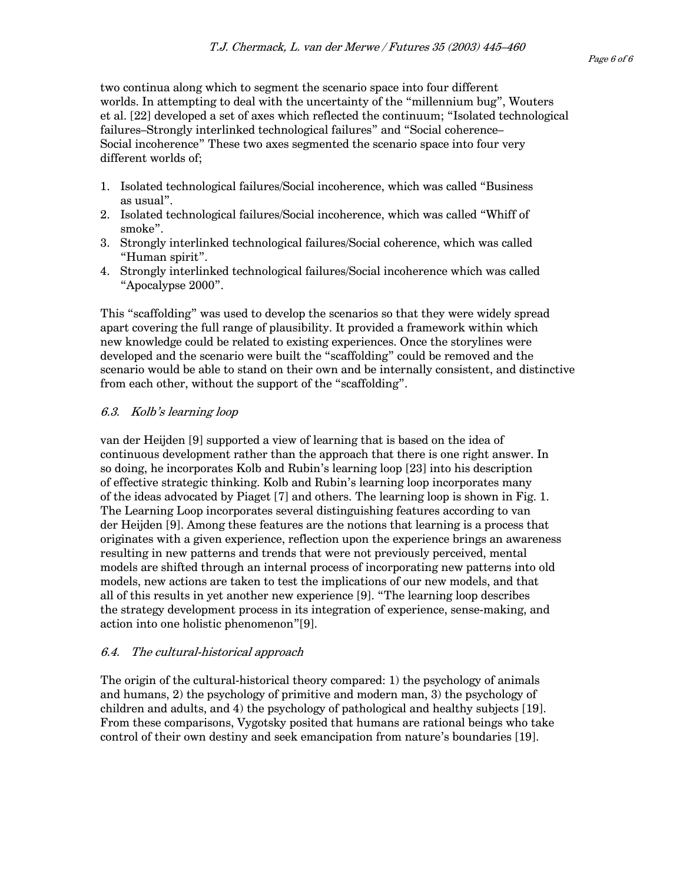two continua along which to segment the scenario space into four different worlds. In attempting to deal with the uncertainty of the "millennium bug", Wouters et al. [22] developed a set of axes which reflected the continuum; "Isolated technological failures–Strongly interlinked technological failures" and "Social coherence– Social incoherence" These two axes segmented the scenario space into four very different worlds of;

- 1. Isolated technological failures/Social incoherence, which was called "Business as usual".
- 2. Isolated technological failures/Social incoherence, which was called "Whiff of smoke".
- 3. Strongly interlinked technological failures/Social coherence, which was called "Human spirit".
- 4. Strongly interlinked technological failures/Social incoherence which was called "Apocalypse 2000".

This "scaffolding" was used to develop the scenarios so that they were widely spread apart covering the full range of plausibility. It provided a framework within which new knowledge could be related to existing experiences. Once the storylines were developed and the scenario were built the "scaffolding" could be removed and the scenario would be able to stand on their own and be internally consistent, and distinctive from each other, without the support of the "scaffolding".

### 6.3. Kolb's learning loop

van der Heijden [9] supported a view of learning that is based on the idea of continuous development rather than the approach that there is one right answer. In so doing, he incorporates Kolb and Rubin's learning loop [23] into his description of effective strategic thinking. Kolb and Rubin's learning loop incorporates many of the ideas advocated by Piaget [7] and others. The learning loop is shown in Fig. 1. The Learning Loop incorporates several distinguishing features according to van der Heijden [9]. Among these features are the notions that learning is a process that originates with a given experience, reflection upon the experience brings an awareness resulting in new patterns and trends that were not previously perceived, mental models are shifted through an internal process of incorporating new patterns into old models, new actions are taken to test the implications of our new models, and that all of this results in yet another new experience [9]. "The learning loop describes the strategy development process in its integration of experience, sense-making, and action into one holistic phenomenon"[9].

### 6.4. The cultural-historical approach

The origin of the cultural-historical theory compared: 1) the psychology of animals and humans, 2) the psychology of primitive and modern man, 3) the psychology of children and adults, and 4) the psychology of pathological and healthy subjects [19]. From these comparisons, Vygotsky posited that humans are rational beings who take control of their own destiny and seek emancipation from nature's boundaries [19].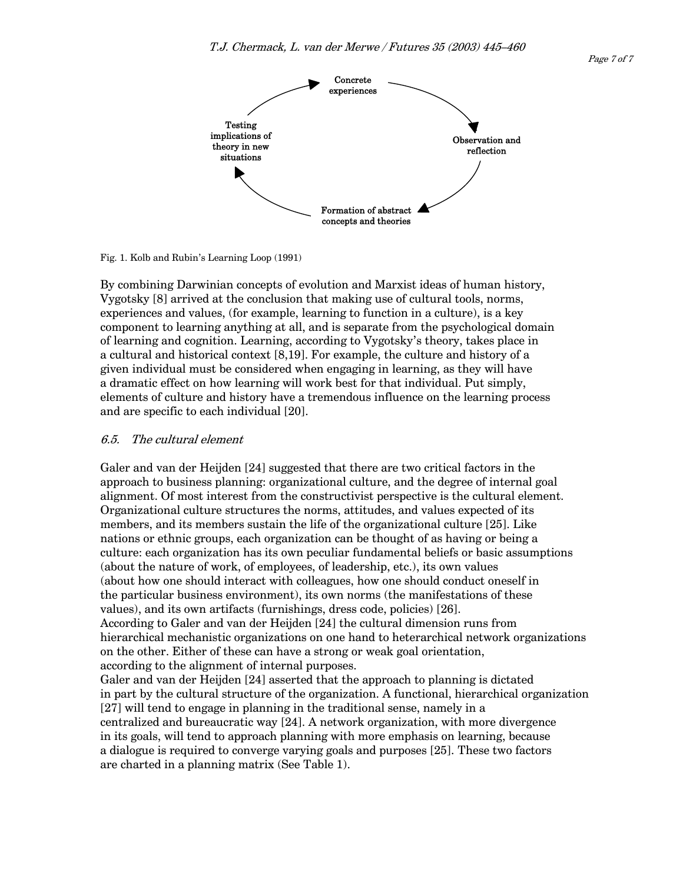



Fig. 1. Kolb and Rubin's Learning Loop (1991)

By combining Darwinian concepts of evolution and Marxist ideas of human history, Vygotsky [8] arrived at the conclusion that making use of cultural tools, norms, experiences and values, (for example, learning to function in a culture), is a key component to learning anything at all, and is separate from the psychological domain of learning and cognition. Learning, according to Vygotsky's theory, takes place in a cultural and historical context [8,19]. For example, the culture and history of a given individual must be considered when engaging in learning, as they will have a dramatic effect on how learning will work best for that individual. Put simply, elements of culture and history have a tremendous influence on the learning process and are specific to each individual [20].

### 6.5. The cultural element

Galer and van der Heijden [24] suggested that there are two critical factors in the approach to business planning: organizational culture, and the degree of internal goal alignment. Of most interest from the constructivist perspective is the cultural element. Organizational culture structures the norms, attitudes, and values expected of its members, and its members sustain the life of the organizational culture [25]. Like nations or ethnic groups, each organization can be thought of as having or being a culture: each organization has its own peculiar fundamental beliefs or basic assumptions (about the nature of work, of employees, of leadership, etc.), its own values (about how one should interact with colleagues, how one should conduct oneself in the particular business environment), its own norms (the manifestations of these values), and its own artifacts (furnishings, dress code, policies) [26]. According to Galer and van der Heijden [24] the cultural dimension runs from hierarchical mechanistic organizations on one hand to heterarchical network organizations on the other. Either of these can have a strong or weak goal orientation, according to the alignment of internal purposes.

Galer and van der Heijden [24] asserted that the approach to planning is dictated in part by the cultural structure of the organization. A functional, hierarchical organization [27] will tend to engage in planning in the traditional sense, namely in a centralized and bureaucratic way [24]. A network organization, with more divergence in its goals, will tend to approach planning with more emphasis on learning, because a dialogue is required to converge varying goals and purposes [25]. These two factors are charted in a planning matrix (See Table 1).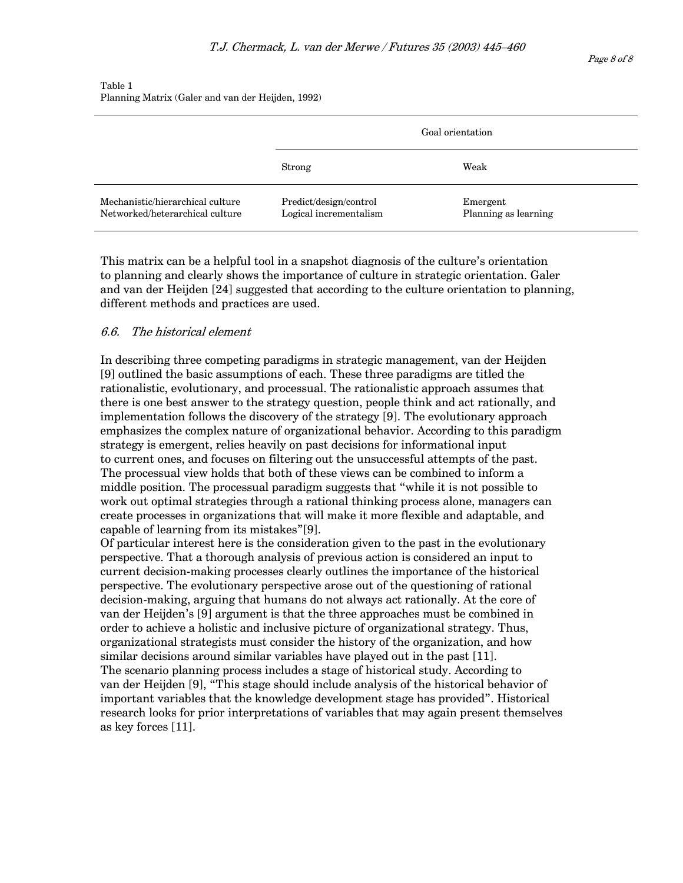#### Table 1 Planning Matrix (Galer and van der Heijden, 1992)

|                                                                     | Goal orientation                                 |                                  |
|---------------------------------------------------------------------|--------------------------------------------------|----------------------------------|
|                                                                     | Strong                                           | Weak                             |
| Mechanistic/hierarchical culture<br>Networked/heterarchical culture | Predict/design/control<br>Logical incrementalism | Emergent<br>Planning as learning |

This matrix can be a helpful tool in a snapshot diagnosis of the culture's orientation to planning and clearly shows the importance of culture in strategic orientation. Galer and van der Heijden [24] suggested that according to the culture orientation to planning, different methods and practices are used.

### 6.6. The historical element

In describing three competing paradigms in strategic management, van der Heijden [9] outlined the basic assumptions of each. These three paradigms are titled the rationalistic, evolutionary, and processual. The rationalistic approach assumes that there is one best answer to the strategy question, people think and act rationally, and implementation follows the discovery of the strategy [9]. The evolutionary approach emphasizes the complex nature of organizational behavior. According to this paradigm strategy is emergent, relies heavily on past decisions for informational input to current ones, and focuses on filtering out the unsuccessful attempts of the past. The processual view holds that both of these views can be combined to inform a middle position. The processual paradigm suggests that "while it is not possible to work out optimal strategies through a rational thinking process alone, managers can create processes in organizations that will make it more flexible and adaptable, and capable of learning from its mistakes"[9].

Of particular interest here is the consideration given to the past in the evolutionary perspective. That a thorough analysis of previous action is considered an input to current decision-making processes clearly outlines the importance of the historical perspective. The evolutionary perspective arose out of the questioning of rational decision-making, arguing that humans do not always act rationally. At the core of van der Heijden's [9] argument is that the three approaches must be combined in order to achieve a holistic and inclusive picture of organizational strategy. Thus, organizational strategists must consider the history of the organization, and how similar decisions around similar variables have played out in the past [11]. The scenario planning process includes a stage of historical study. According to van der Heijden [9], "This stage should include analysis of the historical behavior of important variables that the knowledge development stage has provided". Historical research looks for prior interpretations of variables that may again present themselves as key forces [11].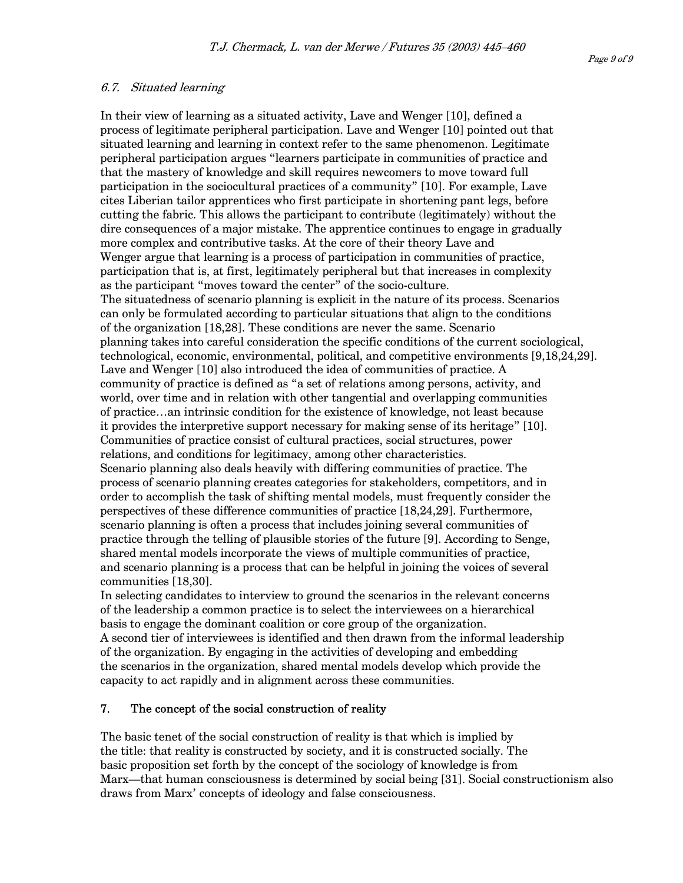### 6.7. Situated learning

In their view of learning as a situated activity, Lave and Wenger [10], defined a process of legitimate peripheral participation. Lave and Wenger [10] pointed out that situated learning and learning in context refer to the same phenomenon. Legitimate peripheral participation argues "learners participate in communities of practice and that the mastery of knowledge and skill requires newcomers to move toward full participation in the sociocultural practices of a community" [10]. For example, Lave cites Liberian tailor apprentices who first participate in shortening pant legs, before cutting the fabric. This allows the participant to contribute (legitimately) without the dire consequences of a major mistake. The apprentice continues to engage in gradually more complex and contributive tasks. At the core of their theory Lave and Wenger argue that learning is a process of participation in communities of practice, participation that is, at first, legitimately peripheral but that increases in complexity as the participant "moves toward the center" of the socio-culture. The situatedness of scenario planning is explicit in the nature of its process. Scenarios can only be formulated according to particular situations that align to the conditions of the organization [18,28]. These conditions are never the same. Scenario planning takes into careful consideration the specific conditions of the current sociological, technological, economic, environmental, political, and competitive environments [9,18,24,29]. Lave and Wenger [10] also introduced the idea of communities of practice. A community of practice is defined as "a set of relations among persons, activity, and world, over time and in relation with other tangential and overlapping communities of practice…an intrinsic condition for the existence of knowledge, not least because it provides the interpretive support necessary for making sense of its heritage" [10]. Communities of practice consist of cultural practices, social structures, power relations, and conditions for legitimacy, among other characteristics. Scenario planning also deals heavily with differing communities of practice. The process of scenario planning creates categories for stakeholders, competitors, and in order to accomplish the task of shifting mental models, must frequently consider the perspectives of these difference communities of practice [18,24,29]. Furthermore, scenario planning is often a process that includes joining several communities of practice through the telling of plausible stories of the future [9]. According to Senge, shared mental models incorporate the views of multiple communities of practice, and scenario planning is a process that can be helpful in joining the voices of several communities [18,30].

In selecting candidates to interview to ground the scenarios in the relevant concerns of the leadership a common practice is to select the interviewees on a hierarchical basis to engage the dominant coalition or core group of the organization. A second tier of interviewees is identified and then drawn from the informal leadership of the organization. By engaging in the activities of developing and embedding the scenarios in the organization, shared mental models develop which provide the capacity to act rapidly and in alignment across these communities.

# 7. The concept of the social construction of reality

The basic tenet of the social construction of reality is that which is implied by the title: that reality is constructed by society, and it is constructed socially. The basic proposition set forth by the concept of the sociology of knowledge is from Marx—that human consciousness is determined by social being [31]. Social constructionism also draws from Marx' concepts of ideology and false consciousness.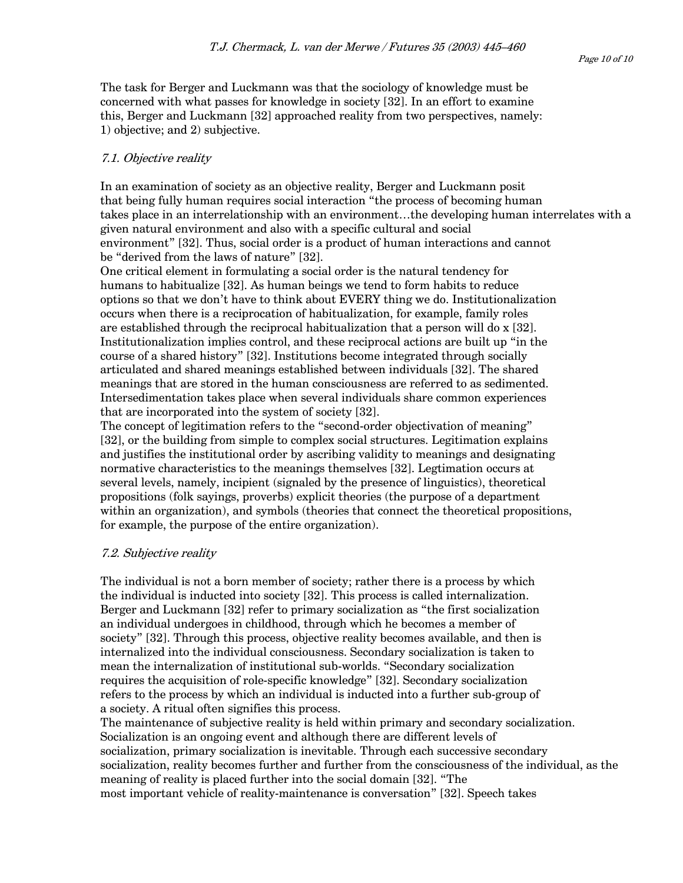The task for Berger and Luckmann was that the sociology of knowledge must be concerned with what passes for knowledge in society [32]. In an effort to examine this, Berger and Luckmann [32] approached reality from two perspectives, namely: 1) objective; and 2) subjective.

### 7.1. Objective reality

In an examination of society as an objective reality, Berger and Luckmann posit that being fully human requires social interaction "the process of becoming human takes place in an interrelationship with an environment…the developing human interrelates with a given natural environment and also with a specific cultural and social environment" [32]. Thus, social order is a product of human interactions and cannot be "derived from the laws of nature" [32].

One critical element in formulating a social order is the natural tendency for humans to habitualize [32]. As human beings we tend to form habits to reduce options so that we don't have to think about EVERY thing we do. Institutionalization occurs when there is a reciprocation of habitualization, for example, family roles are established through the reciprocal habitualization that a person will do x [32]. Institutionalization implies control, and these reciprocal actions are built up "in the course of a shared history" [32]. Institutions become integrated through socially articulated and shared meanings established between individuals [32]. The shared meanings that are stored in the human consciousness are referred to as sedimented. Intersedimentation takes place when several individuals share common experiences that are incorporated into the system of society [32].

The concept of legitimation refers to the "second-order objectivation of meaning" [32], or the building from simple to complex social structures. Legitimation explains and justifies the institutional order by ascribing validity to meanings and designating normative characteristics to the meanings themselves [32]. Legtimation occurs at several levels, namely, incipient (signaled by the presence of linguistics), theoretical propositions (folk sayings, proverbs) explicit theories (the purpose of a department within an organization), and symbols (theories that connect the theoretical propositions, for example, the purpose of the entire organization).

### 7.2. Subjective reality

The individual is not a born member of society; rather there is a process by which the individual is inducted into society [32]. This process is called internalization. Berger and Luckmann [32] refer to primary socialization as "the first socialization an individual undergoes in childhood, through which he becomes a member of society" [32]. Through this process, objective reality becomes available, and then is internalized into the individual consciousness. Secondary socialization is taken to mean the internalization of institutional sub-worlds. "Secondary socialization requires the acquisition of role-specific knowledge" [32]. Secondary socialization refers to the process by which an individual is inducted into a further sub-group of a society. A ritual often signifies this process.

The maintenance of subjective reality is held within primary and secondary socialization. Socialization is an ongoing event and although there are different levels of socialization, primary socialization is inevitable. Through each successive secondary socialization, reality becomes further and further from the consciousness of the individual, as the meaning of reality is placed further into the social domain [32]. "The most important vehicle of reality-maintenance is conversation" [32]. Speech takes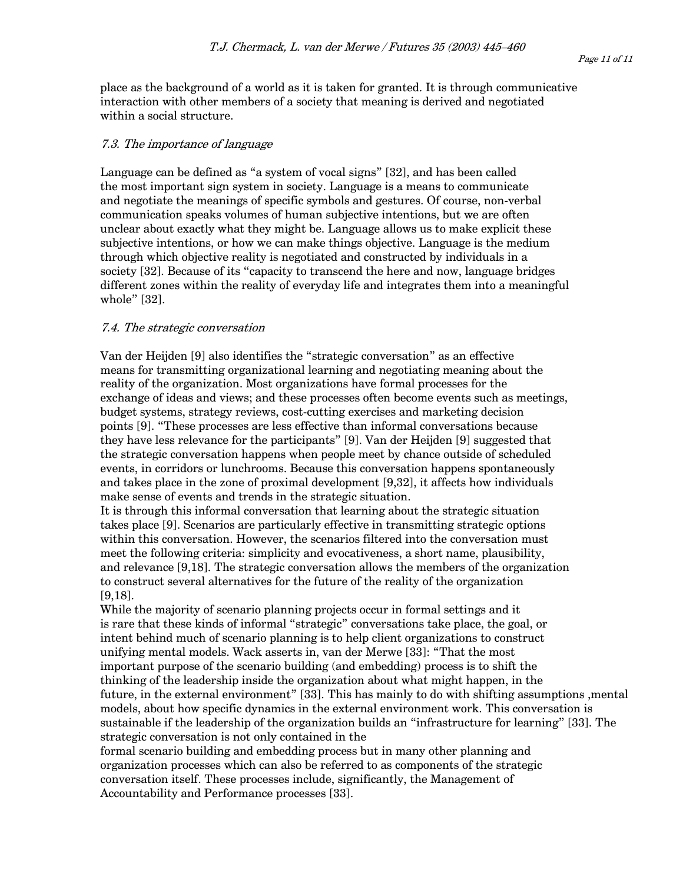place as the background of a world as it is taken for granted. It is through communicative interaction with other members of a society that meaning is derived and negotiated within a social structure.

### 7.3. The importance of language

Language can be defined as "a system of vocal signs" [32], and has been called the most important sign system in society. Language is a means to communicate and negotiate the meanings of specific symbols and gestures. Of course, non-verbal communication speaks volumes of human subjective intentions, but we are often unclear about exactly what they might be. Language allows us to make explicit these subjective intentions, or how we can make things objective. Language is the medium through which objective reality is negotiated and constructed by individuals in a society [32]. Because of its "capacity to transcend the here and now, language bridges different zones within the reality of everyday life and integrates them into a meaningful whole" [32].

### 7.4. The strategic conversation

Van der Heijden [9] also identifies the "strategic conversation" as an effective means for transmitting organizational learning and negotiating meaning about the reality of the organization. Most organizations have formal processes for the exchange of ideas and views; and these processes often become events such as meetings, budget systems, strategy reviews, cost-cutting exercises and marketing decision points [9]. "These processes are less effective than informal conversations because they have less relevance for the participants" [9]. Van der Heijden [9] suggested that the strategic conversation happens when people meet by chance outside of scheduled events, in corridors or lunchrooms. Because this conversation happens spontaneously and takes place in the zone of proximal development [9,32], it affects how individuals make sense of events and trends in the strategic situation.

It is through this informal conversation that learning about the strategic situation takes place [9]. Scenarios are particularly effective in transmitting strategic options within this conversation. However, the scenarios filtered into the conversation must meet the following criteria: simplicity and evocativeness, a short name, plausibility, and relevance [9,18]. The strategic conversation allows the members of the organization to construct several alternatives for the future of the reality of the organization [9,18].

While the majority of scenario planning projects occur in formal settings and it is rare that these kinds of informal "strategic" conversations take place, the goal, or intent behind much of scenario planning is to help client organizations to construct unifying mental models. Wack asserts in, van der Merwe [33]: "That the most important purpose of the scenario building (and embedding) process is to shift the thinking of the leadership inside the organization about what might happen, in the future, in the external environment" [33]. This has mainly to do with shifting assumptions ,mental models, about how specific dynamics in the external environment work. This conversation is sustainable if the leadership of the organization builds an "infrastructure for learning" [33]. The strategic conversation is not only contained in the

formal scenario building and embedding process but in many other planning and organization processes which can also be referred to as components of the strategic conversation itself. These processes include, significantly, the Management of Accountability and Performance processes [33].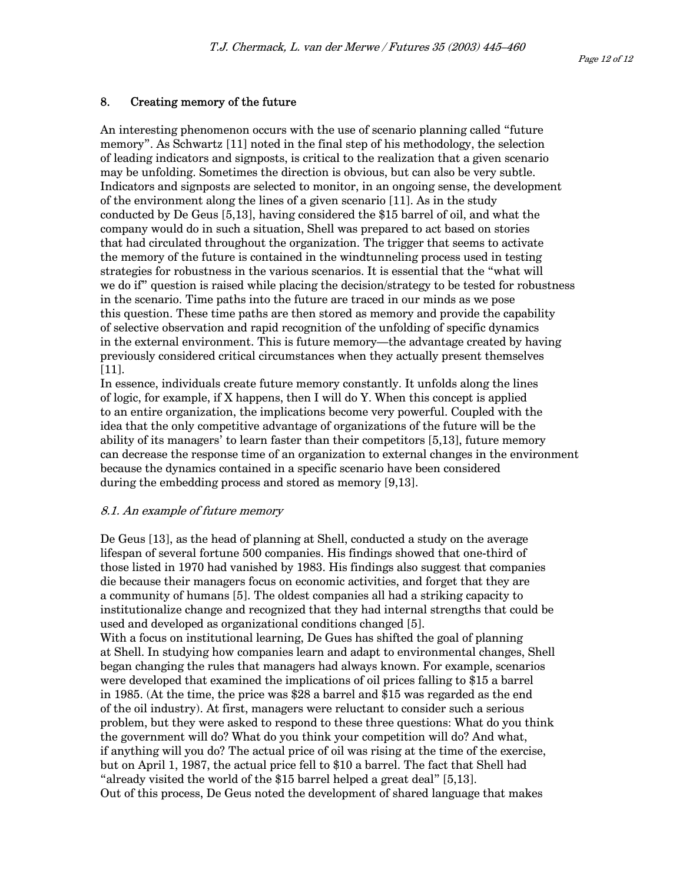# 8. Creating memory of the future

An interesting phenomenon occurs with the use of scenario planning called "future memory". As Schwartz [11] noted in the final step of his methodology, the selection of leading indicators and signposts, is critical to the realization that a given scenario may be unfolding. Sometimes the direction is obvious, but can also be very subtle. Indicators and signposts are selected to monitor, in an ongoing sense, the development of the environment along the lines of a given scenario [11]. As in the study conducted by De Geus [5,13], having considered the \$15 barrel of oil, and what the company would do in such a situation, Shell was prepared to act based on stories that had circulated throughout the organization. The trigger that seems to activate the memory of the future is contained in the windtunneling process used in testing strategies for robustness in the various scenarios. It is essential that the "what will we do if" question is raised while placing the decision/strategy to be tested for robustness in the scenario. Time paths into the future are traced in our minds as we pose this question. These time paths are then stored as memory and provide the capability of selective observation and rapid recognition of the unfolding of specific dynamics in the external environment. This is future memory—the advantage created by having previously considered critical circumstances when they actually present themselves [11].

In essence, individuals create future memory constantly. It unfolds along the lines of logic, for example, if X happens, then I will do Y. When this concept is applied to an entire organization, the implications become very powerful. Coupled with the idea that the only competitive advantage of organizations of the future will be the ability of its managers' to learn faster than their competitors [5,13], future memory can decrease the response time of an organization to external changes in the environment because the dynamics contained in a specific scenario have been considered during the embedding process and stored as memory [9,13].

### 8.1. An example of future memory

De Geus [13], as the head of planning at Shell, conducted a study on the average lifespan of several fortune 500 companies. His findings showed that one-third of those listed in 1970 had vanished by 1983. His findings also suggest that companies die because their managers focus on economic activities, and forget that they are a community of humans [5]. The oldest companies all had a striking capacity to institutionalize change and recognized that they had internal strengths that could be used and developed as organizational conditions changed [5]. With a focus on institutional learning, De Gues has shifted the goal of planning at Shell. In studying how companies learn and adapt to environmental changes, Shell began changing the rules that managers had always known. For example, scenarios were developed that examined the implications of oil prices falling to \$15 a barrel in 1985. (At the time, the price was \$28 a barrel and \$15 was regarded as the end of the oil industry). At first, managers were reluctant to consider such a serious problem, but they were asked to respond to these three questions: What do you think the government will do? What do you think your competition will do? And what, if anything will you do? The actual price of oil was rising at the time of the exercise, but on April 1, 1987, the actual price fell to \$10 a barrel. The fact that Shell had

"already visited the world of the \$15 barrel helped a great deal" [5,13].

Out of this process, De Geus noted the development of shared language that makes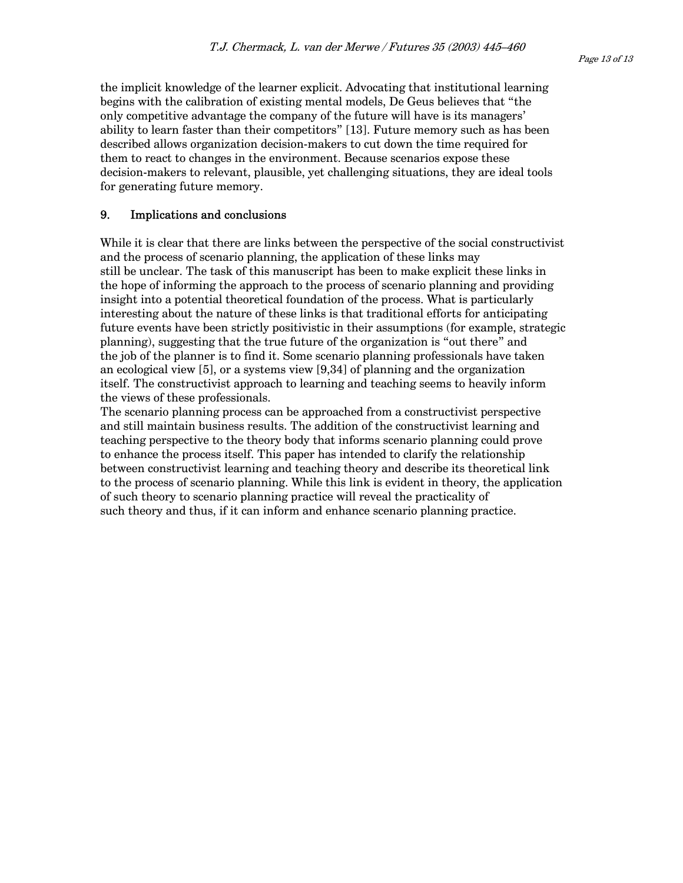the implicit knowledge of the learner explicit. Advocating that institutional learning begins with the calibration of existing mental models, De Geus believes that "the only competitive advantage the company of the future will have is its managers' ability to learn faster than their competitors" [13]. Future memory such as has been described allows organization decision-makers to cut down the time required for them to react to changes in the environment. Because scenarios expose these decision-makers to relevant, plausible, yet challenging situations, they are ideal tools for generating future memory.

# 9. Implications and conclusions

While it is clear that there are links between the perspective of the social constructivist and the process of scenario planning, the application of these links may still be unclear. The task of this manuscript has been to make explicit these links in the hope of informing the approach to the process of scenario planning and providing insight into a potential theoretical foundation of the process. What is particularly interesting about the nature of these links is that traditional efforts for anticipating future events have been strictly positivistic in their assumptions (for example, strategic planning), suggesting that the true future of the organization is "out there" and the job of the planner is to find it. Some scenario planning professionals have taken an ecological view [5], or a systems view [9,34] of planning and the organization itself. The constructivist approach to learning and teaching seems to heavily inform the views of these professionals.

The scenario planning process can be approached from a constructivist perspective and still maintain business results. The addition of the constructivist learning and teaching perspective to the theory body that informs scenario planning could prove to enhance the process itself. This paper has intended to clarify the relationship between constructivist learning and teaching theory and describe its theoretical link to the process of scenario planning. While this link is evident in theory, the application of such theory to scenario planning practice will reveal the practicality of such theory and thus, if it can inform and enhance scenario planning practice.